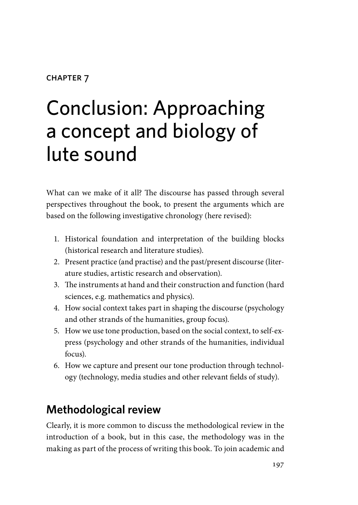#### **CHAPTER 7**

# Conclusion: Approaching a concept and biology of lute sound

What can we make of it all? The discourse has passed through several perspectives throughout the book, to present the arguments which are based on the following investigative chronology (here revised):

- 1. Historical foundation and interpretation of the building blocks (historical research and literature studies).
- 2. Present practice (and practise) and the past/present discourse (literature studies, artistic research and observation).
- 3. The instruments at hand and their construction and function (hard sciences, e.g. mathematics and physics).
- 4. How social context takes part in shaping the discourse (psychology and other strands of the humanities, group focus).
- 5. How we use tone production, based on the social context, to self-express (psychology and other strands of the humanities, individual focus).
- 6. How we capture and present our tone production through technology (technology, media studies and other relevant fields of study).

# **Methodological review**

Clearly, it is more common to discuss the methodological review in the introduction of a book, but in this case, the methodology was in the making as part of the process of writing this book. To join academic and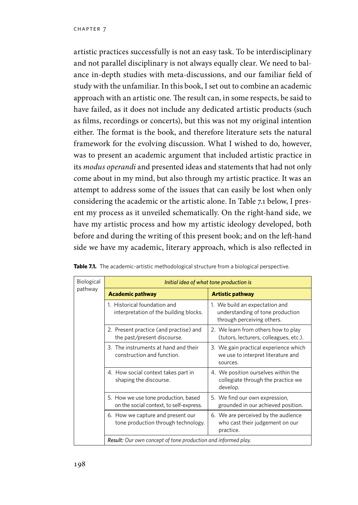artistic practices successfully is not an easy task. To be interdisciplinary and not parallel disciplinary is not always equally clear. We need to balance in-depth studies with meta-discussions, and our familiar field of study with the unfamiliar. In this book, I set out to combine an academic approach with an artistic one. The result can, in some respects, be said to have failed, as it does not include any dedicated artistic products (such as films, recordings or concerts), but this was not my original intention either. The format is the book, and therefore literature sets the natural framework for the evolving discussion. What I wished to do, however, was to present an academic argument that included artistic practice in its *modus operandi* and presented ideas and statements that had not only come about in my mind, but also through my artistic practice. It was an attempt to address some of the issues that can easily be lost when only considering the academic or the artistic alone. In Table 7.1 below, I present my process as it unveiled schematically. On the right-hand side, we have my artistic process and how my artistic ideology developed, both before and during the writing of this present book; and on the left-hand side we have my academic, literary approach, which is also reflected in

| Biological<br>pathway | Initial idea of what tone production is                                         |                                                                                                  |
|-----------------------|---------------------------------------------------------------------------------|--------------------------------------------------------------------------------------------------|
|                       | <b>Academic pathway</b>                                                         | <b>Artistic pathway</b>                                                                          |
|                       | 1. Historical foundation and<br>interpretation of the building blocks.          | 1. We build an expectation and<br>understanding of tone production<br>through perceiving others. |
|                       | 2. Present practice (and practise) and<br>the past/present discourse.           | 2. We learn from others how to play<br>(tutors, lecturers, colleagues, etc.).                    |
|                       | 3. The instruments at hand and their<br>construction and function.              | 3. We gain practical experience which<br>we use to interpret literature and<br>sources.          |
|                       | 4. How social context takes part in<br>shaping the discourse.                   | 4. We position ourselves within the<br>collegiate through the practice we<br>develop.            |
|                       | 5. How we use tone production, based<br>on the social context, to self-express. | 5. We find our own expression,<br>grounded in our achieved position.                             |
|                       | 6. How we capture and present our<br>tone production through technology.        | 6. We are perceived by the audience<br>who cast their judgement on our<br>practice.              |
|                       | Result: Our own concept of tone production and informed play.                   |                                                                                                  |

Table 7.1. The academic-artistic methodological structure from a biological perspective.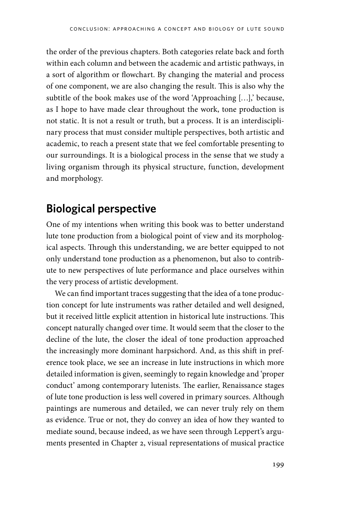the order of the previous chapters. Both categories relate back and forth within each column and between the academic and artistic pathways, in a sort of algorithm or flowchart. By changing the material and process of one component, we are also changing the result. This is also why the subtitle of the book makes use of the word 'Approaching […],' because, as I hope to have made clear throughout the work, tone production is not static. It is not a result or truth, but a process. It is an interdisciplinary process that must consider multiple perspectives, both artistic and academic, to reach a present state that we feel comfortable presenting to our surroundings. It is a biological process in the sense that we study a living organism through its physical structure, function, development and morphology.

## **Biological perspective**

One of my intentions when writing this book was to better understand lute tone production from a biological point of view and its morphological aspects. Through this understanding, we are better equipped to not only understand tone production as a phenomenon, but also to contribute to new perspectives of lute performance and place ourselves within the very process of artistic development.

We can find important traces suggesting that the idea of a tone production concept for lute instruments was rather detailed and well designed, but it received little explicit attention in historical lute instructions. This concept naturally changed over time. It would seem that the closer to the decline of the lute, the closer the ideal of tone production approached the increasingly more dominant harpsichord. And, as this shift in preference took place, we see an increase in lute instructions in which more detailed information is given, seemingly to regain knowledge and 'proper conduct' among contemporary lutenists. The earlier, Renaissance stages of lute tone production is less well covered in primary sources. Although paintings are numerous and detailed, we can never truly rely on them as evidence. True or not, they do convey an idea of how they wanted to mediate sound, because indeed, as we have seen through Leppert's arguments presented in Chapter 2, visual representations of musical practice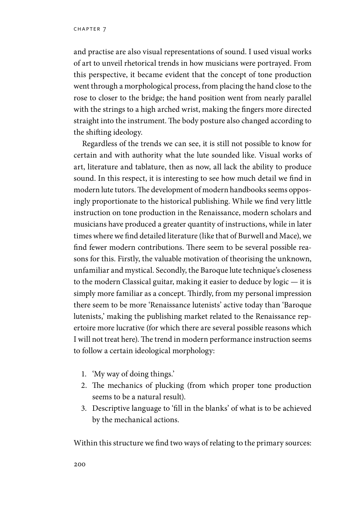and practise are also visual representations of sound. I used visual works of art to unveil rhetorical trends in how musicians were portrayed. From this perspective, it became evident that the concept of tone production went through a morphological process, from placing the hand close to the rose to closer to the bridge; the hand position went from nearly parallel with the strings to a high arched wrist, making the fingers more directed straight into the instrument. The body posture also changed according to the shifting ideology.

Regardless of the trends we can see, it is still not possible to know for certain and with authority what the lute sounded like. Visual works of art, literature and tablature, then as now, all lack the ability to produce sound. In this respect, it is interesting to see how much detail we find in modern lute tutors. The development of modern handbooks seems opposingly proportionate to the historical publishing. While we find very little instruction on tone production in the Renaissance, modern scholars and musicians have produced a greater quantity of instructions, while in later times where we find detailed literature (like that of Burwell and Mace), we find fewer modern contributions. There seem to be several possible reasons for this. Firstly, the valuable motivation of theorising the unknown, unfamiliar and mystical. Secondly, the Baroque lute technique's closeness to the modern Classical guitar, making it easier to deduce by logic — it is simply more familiar as a concept. Thirdly, from my personal impression there seem to be more 'Renaissance lutenists' active today than 'Baroque lutenists,' making the publishing market related to the Renaissance repertoire more lucrative (for which there are several possible reasons which I will not treat here). The trend in modern performance instruction seems to follow a certain ideological morphology:

- 1. 'My way of doing things.'
- 2. The mechanics of plucking (from which proper tone production seems to be a natural result).
- 3. Descriptive language to 'fill in the blanks' of what is to be achieved by the mechanical actions.

Within this structure we find two ways of relating to the primary sources: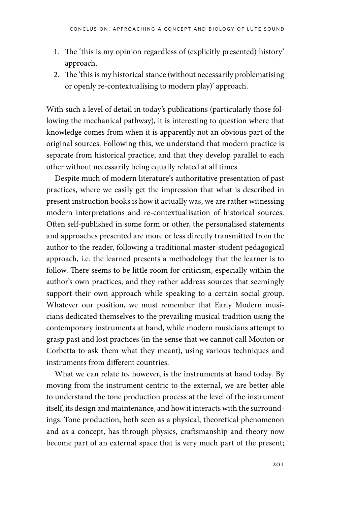- 1. The 'this is my opinion regardless of (explicitly presented) history' approach.
- 2. The 'this is my historical stance (without necessarily problematising or openly re-contextualising to modern play)' approach.

With such a level of detail in today's publications (particularly those following the mechanical pathway), it is interesting to question where that knowledge comes from when it is apparently not an obvious part of the original sources. Following this, we understand that modern practice is separate from historical practice, and that they develop parallel to each other without necessarily being equally related at all times.

Despite much of modern literature's authoritative presentation of past practices, where we easily get the impression that what is described in present instruction books is how it actually was, we are rather witnessing modern interpretations and re-contextualisation of historical sources. Often self-published in some form or other, the personalised statements and approaches presented are more or less directly transmitted from the author to the reader, following a traditional master-student pedagogical approach, i.e. the learned presents a methodology that the learner is to follow. There seems to be little room for criticism, especially within the author's own practices, and they rather address sources that seemingly support their own approach while speaking to a certain social group. Whatever our position, we must remember that Early Modern musicians dedicated themselves to the prevailing musical tradition using the contemporary instruments at hand, while modern musicians attempt to grasp past and lost practices (in the sense that we cannot call Mouton or Corbetta to ask them what they meant), using various techniques and instruments from different countries.

What we can relate to, however, is the instruments at hand today. By moving from the instrument-centric to the external, we are better able to understand the tone production process at the level of the instrument itself, its design and maintenance, and how it interacts with the surroundings. Tone production, both seen as a physical, theoretical phenomenon and as a concept, has through physics, craftsmanship and theory now become part of an external space that is very much part of the present;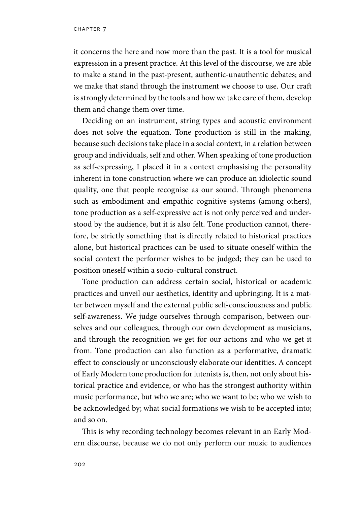it concerns the here and now more than the past. It is a tool for musical expression in a present practice. At this level of the discourse, we are able to make a stand in the past-present, authentic-unauthentic debates; and we make that stand through the instrument we choose to use. Our craft is strongly determined by the tools and how we take care of them, develop them and change them over time.

Deciding on an instrument, string types and acoustic environment does not solve the equation. Tone production is still in the making, because such decisions take place in a social context, in a relation between group and individuals, self and other. When speaking of tone production as self-expressing, I placed it in a context emphasising the personality inherent in tone construction where we can produce an idiolectic sound quality, one that people recognise as our sound. Through phenomena such as embodiment and empathic cognitive systems (among others), tone production as a self-expressive act is not only perceived and understood by the audience, but it is also felt. Tone production cannot, therefore, be strictly something that is directly related to historical practices alone, but historical practices can be used to situate oneself within the social context the performer wishes to be judged; they can be used to position oneself within a socio-cultural construct.

Tone production can address certain social, historical or academic practices and unveil our aesthetics, identity and upbringing. It is a matter between myself and the external public self-consciousness and public self-awareness. We judge ourselves through comparison, between ourselves and our colleagues, through our own development as musicians, and through the recognition we get for our actions and who we get it from. Tone production can also function as a performative, dramatic effect to consciously or unconsciously elaborate our identities. A concept of Early Modern tone production for lutenists is, then, not only about historical practice and evidence, or who has the strongest authority within music performance, but who we are; who we want to be; who we wish to be acknowledged by; what social formations we wish to be accepted into; and so on.

This is why recording technology becomes relevant in an Early Modern discourse, because we do not only perform our music to audiences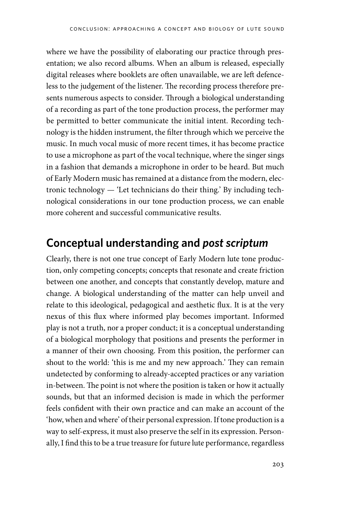where we have the possibility of elaborating our practice through presentation; we also record albums. When an album is released, especially digital releases where booklets are often unavailable, we are left defenceless to the judgement of the listener. The recording process therefore presents numerous aspects to consider. Through a biological understanding of a recording as part of the tone production process, the performer may be permitted to better communicate the initial intent. Recording technology is the hidden instrument, the filter through which we perceive the music. In much vocal music of more recent times, it has become practice to use a microphone as part of the vocal technique, where the singer sings in a fashion that demands a microphone in order to be heard. But much of Early Modern music has remained at a distance from the modern, electronic technology — 'Let technicians do their thing.' By including technological considerations in our tone production process, we can enable more coherent and successful communicative results.

### **Conceptual understanding and** *post scriptum*

Clearly, there is not one true concept of Early Modern lute tone production, only competing concepts; concepts that resonate and create friction between one another, and concepts that constantly develop, mature and change. A biological understanding of the matter can help unveil and relate to this ideological, pedagogical and aesthetic flux. It is at the very nexus of this flux where informed play becomes important. Informed play is not a truth, nor a proper conduct; it is a conceptual understanding of a biological morphology that positions and presents the performer in a manner of their own choosing. From this position, the performer can shout to the world: 'this is me and my new approach.' They can remain undetected by conforming to already-accepted practices or any variation in-between. The point is not where the position is taken or how it actually sounds, but that an informed decision is made in which the performer feels confident with their own practice and can make an account of the 'how, when and where' of their personal expression. If tone production is a way to self-express, it must also preserve the self in its expression. Personally, I find this to be a true treasure for future lute performance, regardless